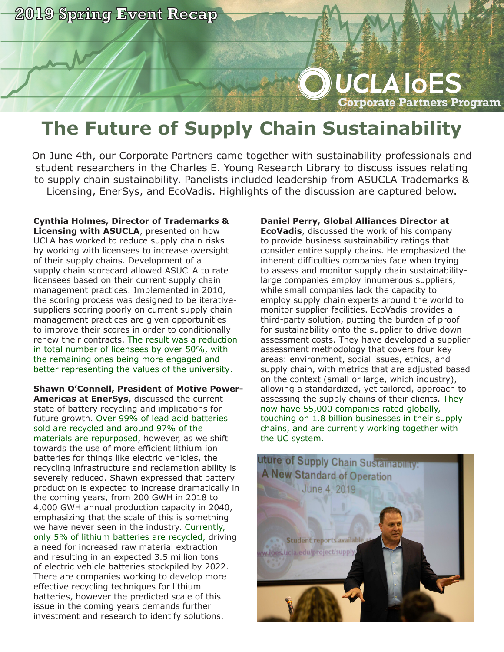

## **UCLA IOES Corporate Partners Program**

## **The Future of Supply Chain Sustainability**

On June 4th, our Corporate Partners came together with sustainability professionals and student researchers in the Charles E. Young Research Library to discuss issues relating to supply chain sustainability. Panelists included leadership from ASUCLA Trademarks & Licensing, EnerSys, and EcoVadis. Highlights of the discussion are captured below.

**Cynthia Holmes, Director of Trademarks & Licensing with ASUCLA**, presented on how UCLA has worked to reduce supply chain risks by working with licensees to increase oversight of their supply chains. Development of a supply chain scorecard allowed ASUCLA to rate licensees based on their current supply chain management practices. Implemented in 2010, the scoring process was designed to be iterativesuppliers scoring poorly on current supply chain management practices are given opportunities to improve their scores in order to conditionally renew their contracts. The result was a reduction in total number of licensees by over 50%, with the remaining ones being more engaged and better representing the values of the university.

**Shawn O'Connell, President of Motive Power-Americas at EnerSys**, discussed the current state of battery recycling and implications for future growth. Over 99% of lead acid batteries sold are recycled and around 97% of the materials are repurposed, however, as we shift towards the use of more efficient lithium ion batteries for things like electric vehicles, the recycling infrastructure and reclamation ability is severely reduced. Shawn expressed that battery production is expected to increase dramatically in the coming years, from 200 GWH in 2018 to 4,000 GWH annual production capacity in 2040, emphasizing that the scale of this is something we have never seen in the industry. Currently, only 5% of lithium batteries are recycled, driving a need for increased raw material extraction and resulting in an expected 3.5 million tons of electric vehicle batteries stockpiled by 2022. There are companies working to develop more effective recycling techniques for lithium batteries, however the predicted scale of this issue in the coming years demands further investment and research to identify solutions.

## **Daniel Perry, Global Alliances Director at**

**EcoVadis**, discussed the work of his company to provide business sustainability ratings that consider entire supply chains. He emphasized the inherent difficulties companies face when trying to assess and monitor supply chain sustainabilitylarge companies employ innumerous suppliers, while small companies lack the capacity to employ supply chain experts around the world to monitor supplier facilities. EcoVadis provides a third-party solution, putting the burden of proof for sustainability onto the supplier to drive down assessment costs. They have developed a supplier assessment methodology that covers four key areas: environment, social issues, ethics, and supply chain, with metrics that are adjusted based on the context (small or large, which industry), allowing a standardized, yet tailored, approach to assessing the supply chains of their clients. They now have 55,000 companies rated globally, touching on 1.8 billion businesses in their supply chains, and are currently working together with the UC system.